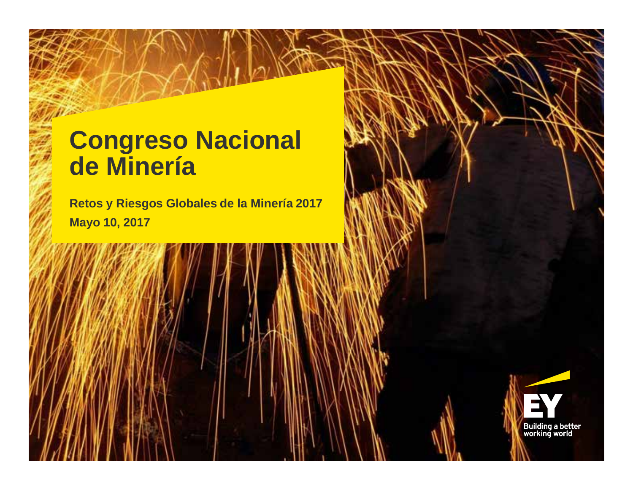# **Congreso Nacional de Minería**

**Retos y Riesgos Globales de la Minería 2017 Mayo 10, 2017**

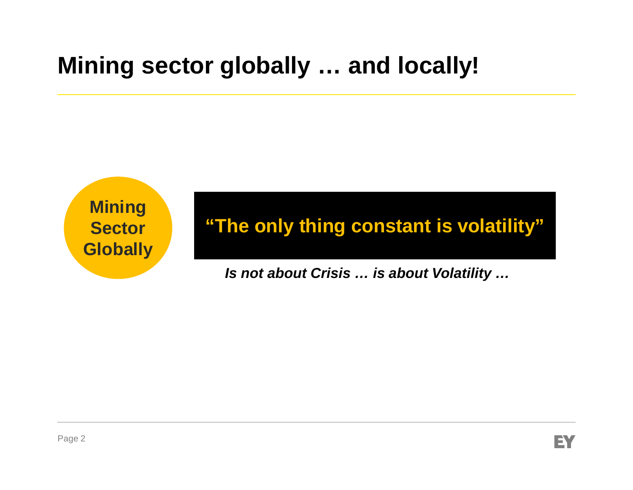# **Mining sector globally … and locally!**

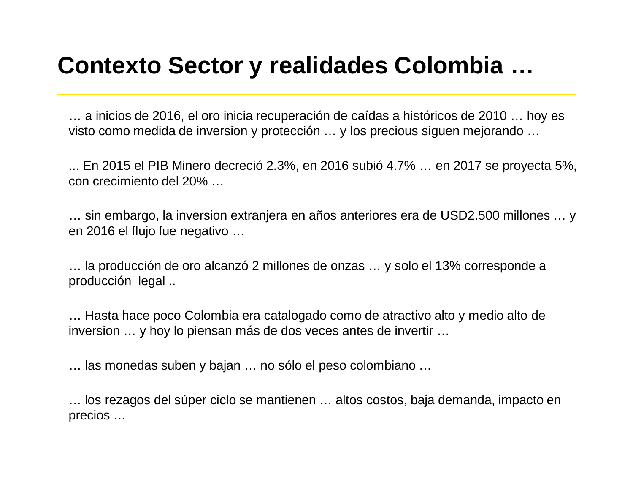# **Contexto Sector y realidades Colombia …**

… a inicios de 2016, el oro inicia recuperación de caídas a históricos de 2010 … hoy es visto como medida de inversion y protección … y los precious siguen mejorando …

... En 2015 el PIB Minero decreció 2.3%, en 2016 subió 4.7% … en 2017 se proyecta 5%, con crecimiento del 20% …

… sin embargo, la inversion extranjera en años anteriores era de USD2.500 millones … y en 2016 el flujo fue negativo …

… la producción de oro alcanzó 2 millones de onzas … y solo el 13% corresponde a producción legal ..

… Hasta hace poco Colombia era catalogado como de atractivo alto y medio alto de inversion … y hoy lo piensan más de dos veces antes de invertir …

… las monedas suben y bajan … no sólo el peso colombiano …

… los rezagos del súper ciclo se mantienen … altos costos, baja demanda, impacto en precios …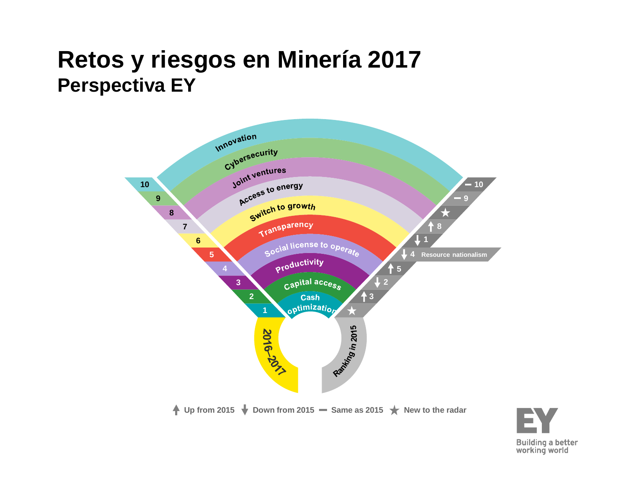## **Retos y riesgos en Minería 2017 Perspectiva EY**



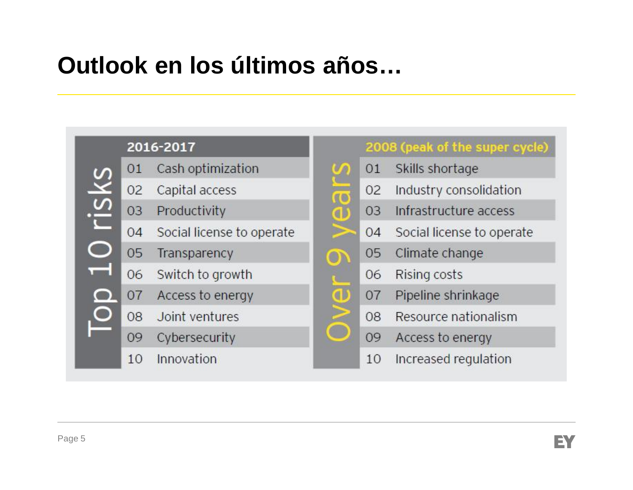# **Outlook en los últimos años…**

#### 2016-2017



- Capital access 02
- Productivity 03
- Social license to operate  $04$
- 05 Transparency
	- 06 Switch to growth
- Access to energy 07
- 08 Joint ventures
	- Cybersecurity 09
	- **Innovation** 10

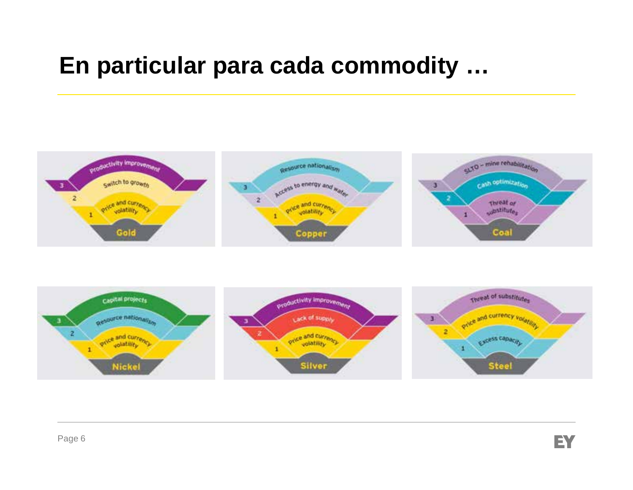## **En particular para cada commodity …**



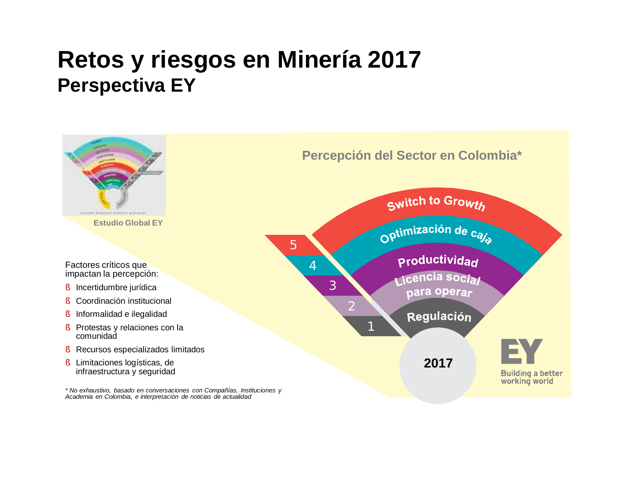## **Retos y riesgos en Minería 2017 Perspectiva EY**

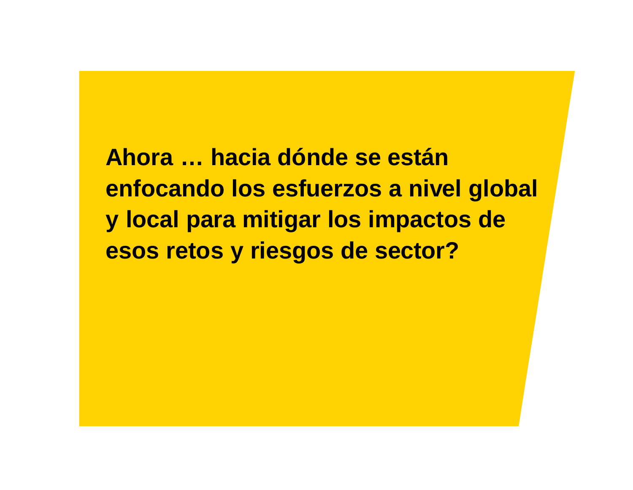**Ahora … hacia dónde se están enfocando los esfuerzos a nivel global y local para mitigar los impactos de esos retos y riesgos de sector?**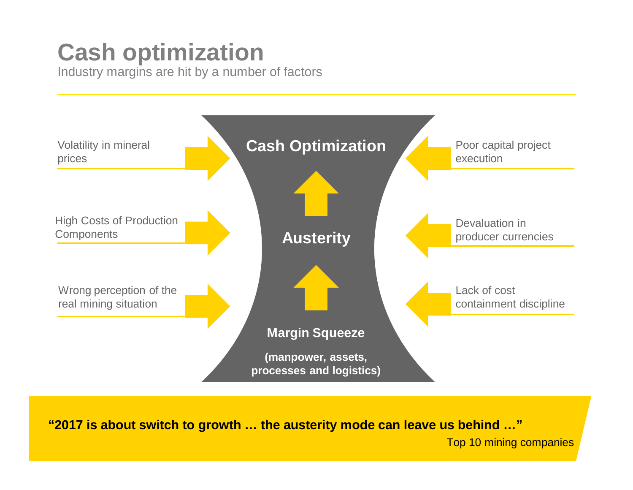# **Cash optimization**

Industry margins are hit by a number of factors



**"2017 is about switch to growth … the austerity mode can leave us behind …"**

Top 10 mining companies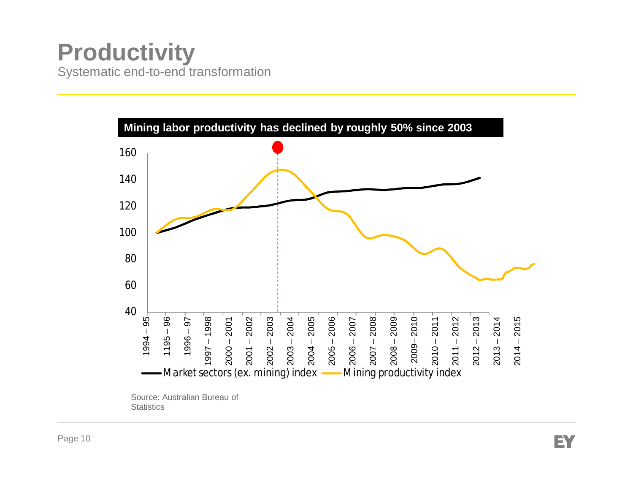### **Productivity** Systematic end-to-end transformation

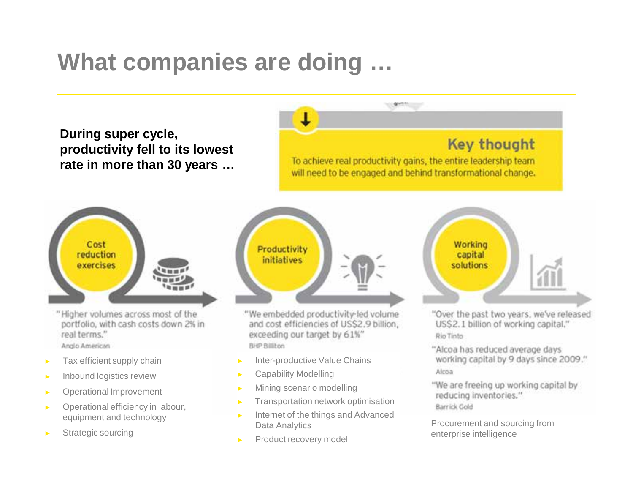# **What companies are doing …**

**During super cycle, productivity fell to its lowest rate in more than 30 years …**

#### **Key thought**

To achieve real productivity gains, the entire leadership team will need to be engaged and behind transformational change.

 $(1 - 2)$ 



"Higher volumes across most of the portfolio, with cash costs down 2% in real terms." Anglo American

- ► Tax efficient supply chain
- ► Inbound logistics review
- ► Operational Improvement
- ► Operational efficiency in labour, equipment and technology
- ▶ Strategic sourcing



"We embedded productivity-led volume and cost efficiencies of US\$2.9 billion, exceeding our target by 61%" BHP Billiton

- Inter-productive Value Chains
- Capability Modelling
- ► Mining scenario modelling
- ► Transportation network optimisation
- ► Internet of the things and Advanced Data Analytics
- Product recovery model



"Over the past two years, we've released US\$2.1 billion of working capital." Rio Tinto

"Alcoa has reduced average days working capital by 9 days since 2009." Alcoa

"We are freeing up working capital by reducing inventories." Barrick Gold

Procurement and sourcing from enterprise intelligence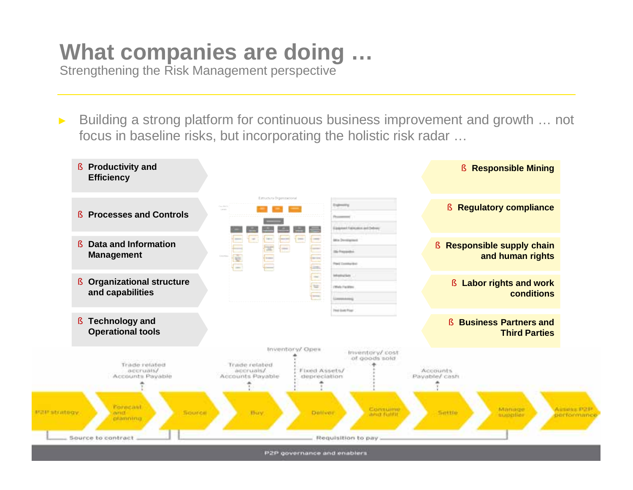# **What companies are doing …**

Strengthening the Risk Management perspective

Building a strong platform for continuous business improvement and growth ... not focus in baseline risks, but incorporating the holistic risk radar …

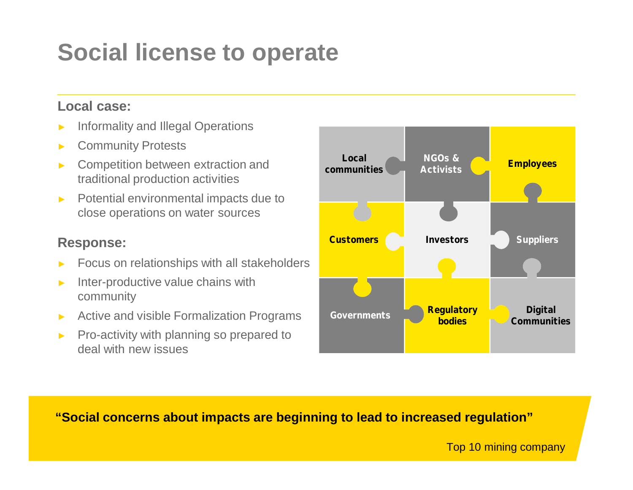# **Social license to operate**

#### **Local case:**

- Informality and Illegal Operations
- **Community Protests**
- Competition between extraction and traditional production activities
- ► Potential environmental impacts due to close operations on water sources

#### **Response:**

- Focus on relationships with all stakeholders
- Inter-productive value chains with community
- Active and visible Formalization Programs
- ► Pro-activity with planning so prepared to deal with new issues



**"Social concerns about impacts are beginning to lead to increased regulation"**

Top 10 mining company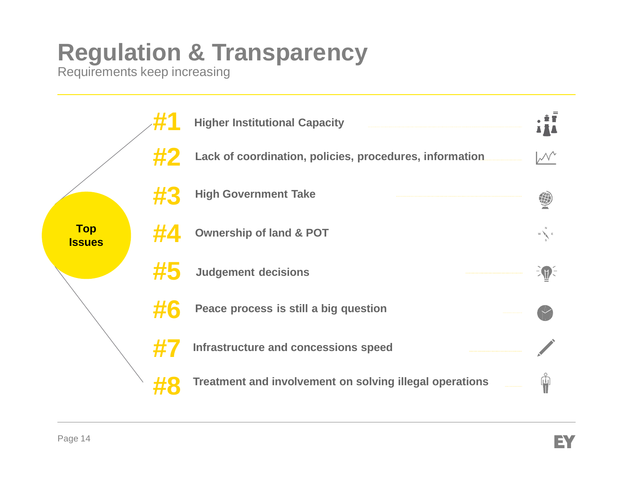# **Regulation & Transparency**

Requirements keep increasing

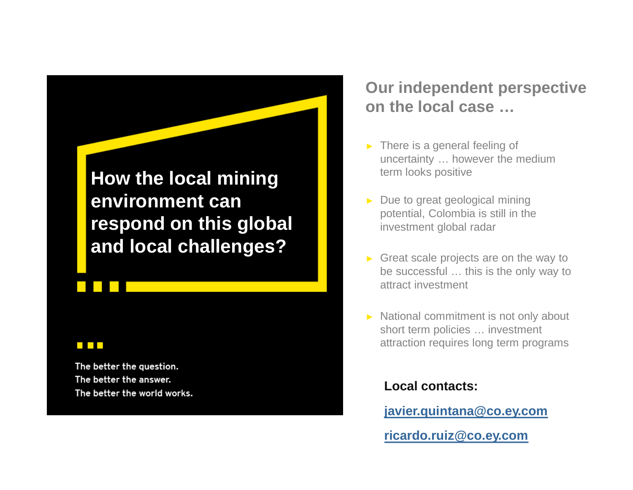**How the local mining environment can respond on this global and local challenges?**

#### 

**Contract Contract** 

The better the question. The better the answer. The better the world works.

#### **Our independent perspective on the local case …**

- $\triangleright$  There is a general feeling of uncertainty … however the medium term looks positive
- ► Due to great geological mining potential, Colombia is still in the investment global radar
- $\triangleright$  Great scale projects are on the way to be successful … this is the only way to attract investment
- ► National commitment is not only about short term policies … investment attraction requires long term programs

#### **Local contacts:**

**javier.quintana@co.ey.com**

**ricardo.ruiz@co.ey.com**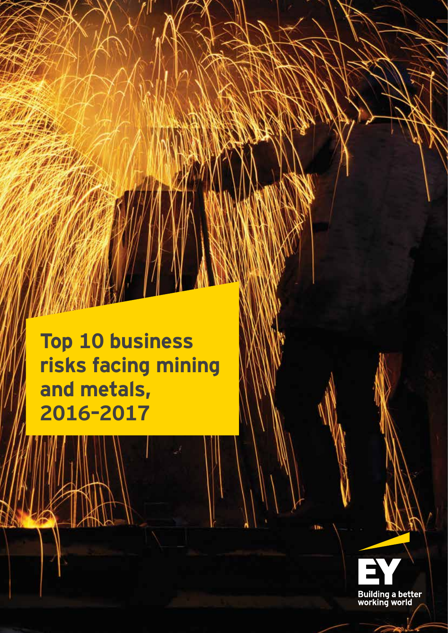**Top 10 business risks facing mining and metals, 2016–2017**

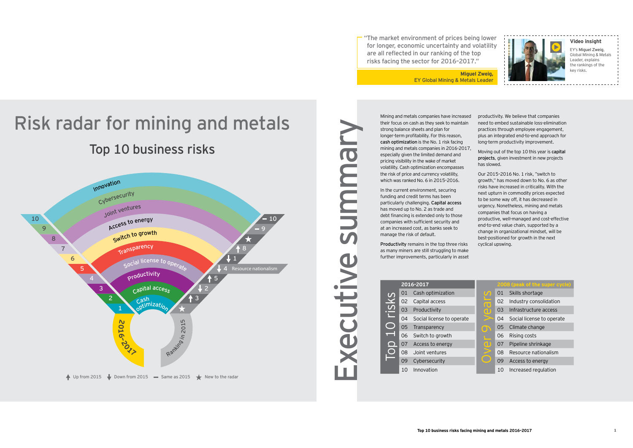"The market environment of prices being lower for longer, economic uncertainty and volatility are all reflected in our ranking of the top risks facing the sector for 2016-2017."

> **Miguel Zweig,** EY Global Mining & Metals Leader

# Top 10 business risks Risk radar for mining and metals



Executive sum mary summus xecutive

Mining and metals companies have increased their focus on cash as they seek to maintain strong balance sheets and plan for longer-term profitability. For this reason, cash optimization is the No. 1 risk facing mining and metals companies in 2016-2017, especially given the limited demand and pricing visibility in the wake of market volatility. Cash optimization encompasses the risk of price and currency volatility, which was ranked No.  $6$  in  $2015$ - $2016$ .

In the current environment, securing funding and credit terms has been particularly challenging. Capital access has moved up to No. 2 as trade and debt financing is extended only to those companies with sufficient security and at an increased cost, as banks seek to manage the risk of default.

Productivity remains in the top three risks as many miners are still struggling to make further improvements, particularly in asset

| 2016-2017 |                           |                         | 2008 (peak of the super cycle) |                           |  |
|-----------|---------------------------|-------------------------|--------------------------------|---------------------------|--|
| 01        | Cash optimization         | $\omega$                | 01                             | Skills shortage           |  |
| 02        | Capital access            | $\overline{\mathbf{C}}$ | 02                             | Industry consolidation    |  |
| 03        | Productivity              | വ                       | 03                             | Infrastructure access     |  |
| 04        | Social license to operate |                         | 04                             | Social license to operate |  |
| 05        | Transparency              | $\mathbf 0$             | 05                             | Climate change            |  |
| 06        | Switch to growth          |                         | 06                             | Rising costs              |  |
| 07        | Access to energy          | O                       | 07                             | Pipeline shrinkage        |  |
| 80        | Joint ventures            |                         | 08                             | Resource nationalism      |  |
| 09        | Cybersecurity             |                         | 09                             | Access to energy          |  |
| $1 \cap$  | Innovation                |                         | 10                             | Increased requision       |  |

|       | 2016-2017 |                           |                            | 2008 (peak of the super |                       |
|-------|-----------|---------------------------|----------------------------|-------------------------|-----------------------|
|       | 01        | Cash optimization         | $\boldsymbol{\mathcal{C}}$ | 01                      | Skills shortage       |
|       | 02        | Capital access            | $\overline{\textbf{C}}$    | 02                      | Industry consolidatio |
| CISKS | 03        | Productivity              | U                          | 03                      | Infrastructure access |
|       | 04        | Social license to operate |                            | 04                      | Social license to ope |
|       | 05        | Transparency              | m                          | 05                      | Climate change        |
|       | 06        | Switch to growth          |                            | 06                      | Rising costs          |
|       | 07        | Access to energy          | U                          | 07                      | Pipeline shrinkage    |
|       | 08        | Joint ventures            |                            | 08                      | Resource nationalisn  |
|       | 09        | Cybersecurity             |                            | 09                      | Access to energy      |
|       | 10        | Innovation                |                            | 10                      | Increased regulation  |



#### **Video insight**

EY's Miguel Zweig, Global Mining & Metals Leader, explains the rankings of the key risks.

productivity. We believe that companies need to embed sustainable loss-elimination practices through employee engagement, plus an integrated end-to-end approach for long-term productivity improvement.

Moving out of the top 10 this year is capital projects, given investment in new projects has slowed.

Our 2015-2016 No. 1 risk, "switch to growth," has moved down to No. 6 as other risks have increased in criticality. With the next upturn in commodity prices expected to be some way off, it has decreased in urgency. Nonetheless, mining and metals companies that focus on having a productive, well-managed and cost-effective end-to-end value chain, supported by a change in organizational mindset, will be best-positioned for growth in the next cyclical upswing.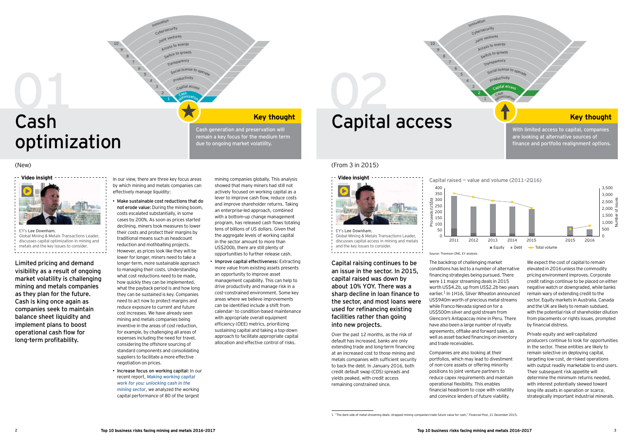

# Cash optimization 01

Cash generation and preservation will remain a key focus for the medium term due to ongoing market volatility.

10

4 5 6

#### $(New)$  (From 3 in 2015)

8 9



We expect the cost of capital to remain elevated in 2016 unless the commodity pricing environment improves. Corporate credit ratings continue to be placed on either negative watch or downgraded, while banks remain wary of extending credit to the sector. Equity markets in Australia, Canada and the UK are likely to remain subdued. with the potential risk of shareholder dilution from placements or rights issues, prompted by financial distress.

Private equity and well-capitalized producers continue to look for opportunities in the sector. These entities are likely to remain selective on deploying capital, targeting low-cost, de-risked operations with output readily marketable to end users. Their subsequent risk appetite will determine the minimum returns needed. with interest potentially skewed toward long-life assets in operation or scarce, strategically important industrial minerals.

Limited pricing and demand visibility as a result of ongoing market volatility is challenging mining and metals companies as they plan for the future. Cash is king once again as companies seek to maintain balance sheet liquidity and implement plans to boost operational cash flow for long-term profitability.

In our view, there are three key focus areas by which mining and metals companies can effectively manage liquidity:

- Make sustainable cost reductions that do not erode value: During the mining boom. costs escalated substantially, in some cases by 200%. As soon as prices started declining, miners took measures to lower their costs and protect their margins by traditional means such as headcount reduction and mothballing projects. However, as prices look like they will be lower for longer, miners need to take a longer-term, more sustainable approach to managing their costs. Understanding what cost reductions need to be made, how quickly they can be implemented, what the payback period is and how long they can be sustained is key. Companies need to act now to protect margins and reduce exposure to current and future cost increases. We have already seen mining and metals companies being inventive in the areas of cost reduction, for example, by challenging all areas of expenses including the need for travel, considering the offshore sourcing of standard components and consolidating suppliers to facilitate a more effective negotiation on prices.
- $\cdot$  Increase focus on working capital: In our recent report. Making working capital *[work for you: unlocking cash in the](http://www.ey.com/GL/en/Industries/Mining---Metals/EY-cash-in-the-ground)  [mining sector](http://www.ey.com/GL/en/Industries/Mining---Metals/EY-cash-in-the-ground)*, we analyzed the working capital performance of 80 of the largest

mining companies globally. This analysis showed that many miners had still not actively focused on working capital as a lever to improve cash flow, reduce costs and improve shareholder returns. Taking an enterprise-led approach, combined with a bottom-up change management program, has released cash flows totaling tens of billions of US dollars. Given that the aggregate levels of working capital in the sector amount to more than US\$200b, there are still plenty of opportunities to further release cash.

 $\cdot$  Improve capital effectiveness: Extracting more value from existing assets presents an opportunity to improve asset management capability. This can help to drive productivity and manage risk in a cost-constrained environment. Some key areas where we believe improvements can be identified include a shift from calendar- to condition-based maintenance with appropriate overall equipment efficiency (OEE) metrics, prioritizing sustaining capital and taking a top-down approach to facilitate appropriate capital allocation and effective control of risks.

# 02



Source: Thomson ONE, EY analysis

The backdrop of challenging market conditions has led to a number of alternative financing strategies being pursued. There were 11 maior streaming deals in 2015 worth US\$4.2b, up from US\$2.2b two years earlier.<sup>1</sup> In 1H16, Silver Wheaton announced US\$940m worth of precious metal streams while Franco-Nevada signed on for a  $US5500m$  silver and gold stream from Glencore's Antapaccay mine in Peru. There have also been a large number of royalty agreements, offtake and forward sales, as well as asset-backed financing on inventory and trade receivables.

Companies are also looking at their portfolios, which may lead to divestment of non-core assets or offering minority positions to joint venture partners to reduce capex requirements and maintain operational flexibility. This enables financial headroom to cope with volatility and convince lenders of future viability.





Capital raising continues to be an issue in the sector. In 2015, capital raised was down by about 10% YOY. There was a sharp decline in loan finance to the sector, and most loans were used for refinancing existing facilities rather than going into new projects.

Over the past 12 months, as the risk of default has increased, banks are only extending trade and long-term financing at an increased cost to those mining and metals companies with sufficient security to back the debt. In January 2016, both credit default swap (CDS) spreads and vields peaked, with credit access remaining constrained since.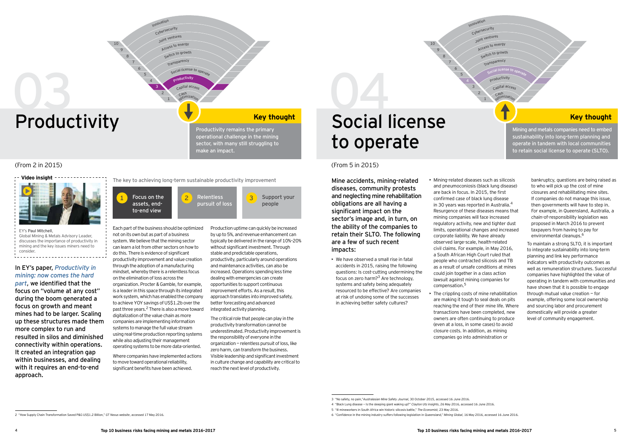

- Innovation<br>Cybersecurity
	- <sup>J</sup>oin<sup>t</sup> <sup>v</sup>enture<sup>s</sup>

10

1 2 3

5 6

- Access to energy
- Switch to growth
- Transparenc<sup>y</sup>
	- Social license to operate
	- Productivity
	- Capital acces.

8 9

#### In EY's paper, *Productivity in [mining: now comes the hard](http://www.ey.com/GL/en/Industries/Mining---Metals/EY-productivity-in-mining-now-comes-the-hard-part)*

*[part](http://www.ey.com/GL/en/Industries/Mining---Metals/EY-productivity-in-mining-now-comes-the-hard-part)*, we identified that the focus on "volume at any cost" during the boom generated a focus on growth and meant mines had to be larger. Scaling up these structures made them more complex to run and resulted in silos and diminished connectivity within operations. It created an integration gap within businesses, and dealing with it requires an end-to-end approach.

<sup>C</sup>as<sup>h</sup> <sup>o</sup>ptimizatio<sup>n</sup>

Mining and metals companies need to embed sustainability into long-term planning and operate in tandem with local communities to retain social license to operate (SLTO).

bankruptcy, questions are being raised as to who will pick up the cost of mine closures and rehabilitating mine sites. If companies do not manage this issue. then governments will have to step in. For example, in Queensland, Australia, a chain-of-responsibility legislation was proposed in March 2016 to prevent taxpayers from having to pay for environmental cleanups.<sup>6</sup>

To maintain a strong SLTO, it is important to integrate sustainability into long-term planning and link key performance indicators with productivity outcomes as well as remuneration structures. Successful companies have highlighted the value of operating in tandem with communities and have shown that it is possible to engage through mutual value creation  $-$  for example, offering some local ownership and sourcing labor and procurement domestically will provide a greater level of community engagement.

 $\cdot$  The crippling costs of mine rehabilitation are making it tough to seal deals on pits reaching the end of their mine life. Where transactions have been completed, new ow ners are often continuing to produce (even at a loss, in some cases) to avoid closure costs. In addition, as mining companies go into administration or

**Focus on the assets, endto-end view** 1 Focus on the **2** Relentless **1** 3

Each part of the business should be optimized not on its own but as part of a business system. We believe that the mining sector can learn a lot from other sectors on how to do this. There is evidence of significant productivity improvement and value creation through the adoption of a manufacturing mindset, whereby there is a relentless focus on the elimination of loss across the organization. Procter & Gamble, for example, is a leader in this space through its integrated work system, which has enabled the company to achieve YOY savings of US\$1.2b over the past three years.<sup>2</sup> There is also a move tow ard digitalization of the value chain as more companies are implementing information systems to manage the full value stream using real-time production reporting systems while also adjusting their management operating systems to be more data-oriented.

Where companies have implemented actions to move toward operational reliability, significant benefits have been achieved.

Production uptime can quickly be increased by up to 5%, and revenue enhancement can typically be delivered in the range of 10%-20% without significant investment. Through stable and predictable operations, productivity, particularly around operations and maintenance activities, can also be increased. Operations spending less time dealing with emergencies can create opportunities to support continuous improvement efforts. As a result, this approach translates into improved safety. better forecasting and advanced integrated activity planning.

The critical role that people can play in the productivity transformation cannot be underestimated. Productivity improvement is the responsibility of everyone in the organization  $-$  relentless pursuit of loss, like zero harm, can transform the business. Visible leadership and significant investment in culture change and capability are critical to reach the next level of productivity.

# Productivity **Productivity** Productivity remains the primary **Social license** to operate

Mine accidents, mining-related diseases, community protests and neglecting mine rehabilitation obligations are all having a significant impact on the sector's image and, in turn, on the ability of the companies to retain their SLTO. The following are a few of such recent impacts:

 $\triangleright$  We have observed a small rise in fatal accidents in 2015, raising the following questions: Is cost-cutting undermining the focus on zero harm? $3$  Are technology, systems and safety being adequately resourced to be effective? Are companies at risk of undoing some of the successes in achieving better safety cultures?

 $\triangleright$  Mining-related diseases such as silicosis and pneumoconiosis (black lung disease) are back in focus. In 2015, the first confirmed case of black lung disease in 30 years was reported in Australia. $4$ Resurgence of these diseases means that mining companies will face increased regulatory activity, new and tighter dust limits, operational changes and increased corporate liability. We have already observed large-scale, health-related civil claims. For example, in May 2016, a South African High Court ruled that people who contracted silicosis and TB as a result of unsafe conditions at mines could join together in a class action law suit against mining companies for compensation.<sup>5</sup>

**The key to achieving long-term sustainable productivity improvement**

**pursuit of loss**

# 03

**Support your** 

**people**

Productivity remains the primary operational challenge in the mining sector, with many still struggling to make an impact.

#### (From 2 in 2015) (From 5 in 2015)



EY's Paul Mitchell Global Mining & Metals Advisory Leader, [discusses the importance of productivity in](http://bcove.me/yjmg1wir)  mining and the key issues miners need to consider

<sup>- 3 &</sup>quot;No safety, no pain," Australasian Mine Safety Journal, 30 October 2015, accessed 16 June 2016.

<sup>4 &</sup>quot;Black Lung disease – Is the sleeping giant waking up?" Clayton Utz insights, 26 May 2016, accessed 16 June 2016.

<sup>-</sup> E<sup>4</sup>ll mineworkers in South Africa win historic silicosis battle " The Economist, 23 May 2016

<sup>6 &</sup>quot;Confidence in the mining industry suffers following legislation in Queensland," Mining Global, 16 May 2016, accessed 16 June 2016.

 $2$  "How Supply Chain Transformation Saved P&G US\$1.2 Billion," GT Nexus website, accessed 17 May 2016.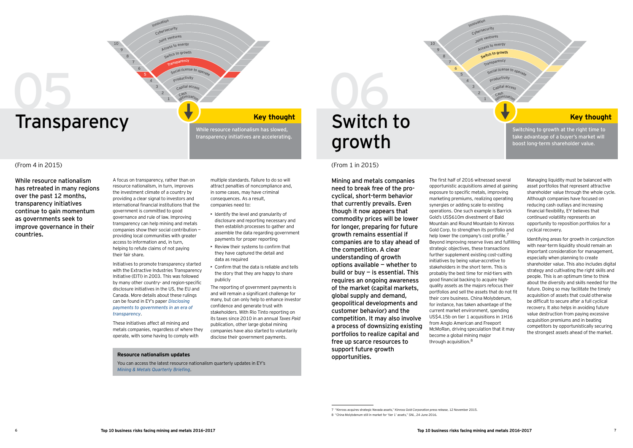10



# **Transparency** We are thought  $\overline{\mathbf{0}}$

transparency initiatives are accelerating.

Switching to growth at the right time to take advantage of a buyer's market will boost long- term shareholder value.

> Managing liquidity must be balanced with asset portfolios that represent attractive shareholder value through the whole cycle. Although companies have focused on reducing cash outlays and increasing financial flexibility, EY believes that continued volatility represents an opportunity to reposition portfolios for a cyclical recovery.

Identifying areas for growth in conjunction with near-term liquidity should remain an important consideration for management, especially when planning to create shareholder value. This also includes digital strategy and cultivating the right skills and people. This is an optimum time to think about the diversity and skills needed for the future. Doing so may facilitate the timely acquisition of assets that could otherwise be difficult to secure after a full cyclical recovery. It also helps in avoiding future value destruction from paying excessive acq uisition premiums and in beating competitors by opportunistically securing the strongest assets ahead of the market.

Access to energy

Switch to growth

8 9

Innovation<br>Cybersecurity

Transparenc<sup>y</sup>

Social license to ope

Productivit<sup>y</sup>

Capital acces.

While resource nationalism has retreated in many regions over the past 12 months, transparency initiatives continue to gain momentum as governments seek to improve governance in their countries.

A focus on transparency, rather than on resource nationalism, in turn, improves the investment climate of a country by providing a clear signal to investors and international financial institutions that the government is committed to good governance and rule of law. Improving transparency can help mining and metals companies show their social contribution  $$ providing local communities with greater access to information and, in turn, helping to refute claims of not paying their fair share.

<sup>J</sup>oin<sup>t</sup> <sup>v</sup>enture<sup>s</sup>

<sup>C</sup>as<sup>h</sup> <sup>o</sup>ptimizatio<sup>n</sup>

multiple standards. Failure to do so will attract penalties of noncompliance and, in some cases, may have criminal consequences. As a result. companies need to:

 $\cdot$  I dentify the level and granularity of disclosure and reporting necessary and then establish processes to gather and assemble the data regarding government

 $\triangleright$  Confirm that the data is reliable and tells the story that they are happy to share

The reporting of government payments is and will remain a significant challenge for many, but can only help to enhance investor

confidence and generate trust with stakeholders. With Rio Tinto reporting on its taxes since 2010 in an annual *Taxes Paid* publication, other large global mining companies have also started to voluntarily disclose their government payments.

data as required

payments for proper reporting  $\blacktriangleright$  Review their systems to confirm that they have captured the detail and

Initiatives to promote transparency started with the Extractive Industries Transparency Initiative (EITI) in 2003. This was followed by many other country- and region-specific disclosure initiatives in the US, the EU and Canada. More details about these rulings can be found in EY's paper *Disclosing [payments to governments in an era of](http://www.ey.com/Publication/vwLUAssetsPI/mining-and-metals-in-an-era-of-transparency/$FILE/ey-mining-and-metals-in-an-era-of-transparency.pdf)  [transparency](http://www.ey.com/Publication/vwLUAssetsPI/mining-and-metals-in-an-era-of-transparency/$FILE/ey-mining-and-metals-in-an-era-of-transparency.pdf)*&

These initiatives affect all mining and metals companies, regardless of where they operate, with some having to comply with

#### **Resource nationalism updates**

publicly

#### $($  From 4 in 2015 $)$  (From 1 in 2015)

You can access the latest resource nationalism quarterly updates in EY's *[Mining & Metals Quarterly Briefing](http://www.ey.com/GL/en/Industries/Mining---Metals/ey-mining-metals-quarterly-briefing-resource-nationalism-update)*&

growth

Mining and metals companies need to break free of the procyclical, short- term behavior that currently prevails. Even though it now appears that commodity prices will be lower for longer, preparing for future grow th rem ains essential if companies are to stay ahead of the competition. A clear understanding of growth options available  $-$  whether to build or buy  $-$  is essential. This requires an ongoing awareness of the market (capital markets, global supply and demand, geopolitical developments and custom er behavior) and the competition. It may also involve a process of downsizing existing portfolios to realize capital and free up scarce resources to support future growth opportunities.

The first half of 2016 witnessed several opportunistic acquisitions aimed at gaining exposure to specific metals, improving marketing premiums, realizing operating synergies or adding scale to existing operations. One such example is Barrick Gold's US\$610m divestment of Bald Mountain and Round Mountain to Kinross Gold Corp. to strengthen its portfolio and help lower the company's cost profile.<sup>7</sup> Beyond improving reserve lives and fulfilling strategic objectives, these transactions further supplement existing cost-cutting initiatives by being value-accretive to stakeholders in the short term. This is probably the best time for mid-tiers with good financial backing to acquire highquality assets as the majors refocus their portfolios and sell the assets that do not fit their core business. China Molybdenum, for instance, has taken advantage of the current market environment, spending US\$4.15b on tier 1 acquisitions in 1H16 from Anglo American and Freeport McMoRan, driving speculation that it may become a global mining major through acquisition. $8$ 

<sup>/</sup> ÉCinjokk acimijek ktjate\_ic Fenada akketk\$Ê *Kinross Gold Corporation press release*\$ )\* Foneebej \*()-&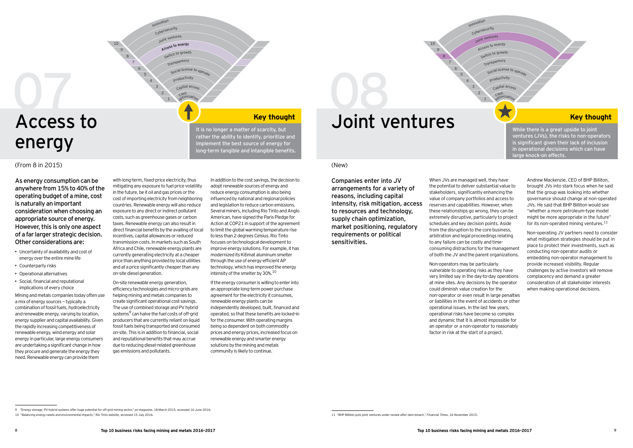Innovation<br>Cybersecurity <sup>J</sup>oin<sup>t</sup> <sup>v</sup>enture<sup>s</sup>  $\sim$  1

 $\mathbf{1}$ 

Access to energy Switch to growth

**Transparency** 

Capital acces. <sup>C</sup>as<sup>h</sup>

<sup>C</sup>as<sup>h</sup> <sup>o</sup>ptimizatio<sup>n</sup>

Social license to operat Productivit<sup>y</sup> Capital access

# Access to energy 0

#### $\langle$  From 8 in 2015) (New )

As energy consumption can be anywhere from 15% to 40% of the operating budget of a mine, cost is naturally an important consideration when choosing an appropriate source of energy. However, this is only one aspect of a far larger strategic decision. Other considerations are:

It is no longer a matter of scarcity, but rather the ability to identify, prioritize and implement the best source of energy for long-term tangible and intangible benefits.

> If the energy consumer is willing to enter into an appropriate long-term power purchase agreement for the electricity it consumes. renewable energy plants can be independently developed, built, financed and operated, so that these benefits are locked-in for the consumer. With operating margins being so dependent on both commodity prices and energy prices, increased focus on renewable energy and smarter energy solutions by the mining and metals community is likely to continue.

0 **Key thought Sexually and Sexually Collect and Sexual Article is a great upside to joint** 

Access to energy

Switch to growth

8 9

Innovation<br>Cybersecurity

#### oint ventures

Transparenc<sup>y</sup>

Social license to ope

Productivit<sup>y</sup>

<sup>o</sup>ptimizatio<sup>n</sup>

While there is a great upside to joint ventures (JVs), the risks to non-operators is significant given their lack of inclusion in operational decisions which can have arge knock-on effects.

> Andrew Mackenzie, CFO of BHP Billiton. brought JVs into stark focus when he said that the group was looking into whether governance should change at non-operated JVs. He said that BHP Billiton would see "whether a more petroleum-type model might be more appropriate in the future" for its non-operated mining ventures.<sup>11</sup>

Non-operating JV partners need to consider what mitigation strategies should be put in place to protect their investments, such as conducting non-operator audits or embedding non-operator management to provide increased visibility. Regular challenges by active investors will remove complacency and demand a greater consideration of all stakeholder interests when making operational decisions.

- $\rightarrow$  Uncertainty of availability and cost of energy over the entire mine life
- $\triangleright$  Counterparty risks
- Operational alternatives
- $\blacktriangleright$  Social, financial and reputational implications of every choice

Mining and metals companies today often use a mix of energy sources – typically a combination of fossil fuels, hydroelectricity and renewable energy, varying by location, energy supplier and capital availability. Given the rapidly increasing competitiveness of renewable energy, wind energy and solar energy in particular, large energy consumers are undertaking a significant change in how they procure and generate the energy they need. Renewable energy can provide them

with long-term, fixed-price electricity, thus mitigating any exposure to fuel price volatility in the future, be it oil and gas prices or the cost of importing electricity from neighboring countries. Renewable energy will also reduce exposure to any direct or indirect pollutant costs, such as greenhouse gases or carbon taxes. Renewable energy can also result in direct financial benefits by the availing of local incentives, capital allowances or reduced transmission costs. In markets such as South Africa and Chile, renewable energy plants are currently generating electricity at a cheaper price than anything provided by local utilities and at a price significantly cheaper than any on-site diesel generation.

On-site renewable energy generation, efficiency technologies and micro-grids are helping mining and metals companies to create significant operational cost savings. The use of combined storage and PV hybrid systems<sup>9</sup> can halve the fuel costs of off-grid producers that are currently reliant on liquid fossil fuels being transported and consumed on-site. This is in addition to financial, social and reputational benefits that may accrue due to reducing diesel-related greenhouse gas emissions and pollutants.

In addition to the cost savings, the decision to adopt renewable sources of energy and reduce energy consumption is also being influenced by national and regional policies and legislation to reduce carbon emissions. Several miners, including Rio Tinto and Anglo American, have signed the Paris Pledge for Action at COP21 in support of the agreement to limit the global warming temperature rise to less than 2 degrees Celsius. Rio Tinto focuses on technological development to improve energy solutions. For example, it has modernized its Kitimat aluminum smelter through the use of energy-efficient AP technology, which has improved the energy intensity of the smelter by  $30\%$ .<sup>10</sup>

Companies enter into JV arrangements for a variety of reasons, including capital intensity, risk mitigation, access to resources and technology, supply chain optimization, market positioning, regulatory requirements or political sensitivities.

When JVs are managed well, they have the potential to deliver substantial value to stakeholders, significantly enhancing the value of company portfolios and access to reserves and capabilities. However, when these relationships go wrong, they can be extremely disruptive, particularly to project schedules and key decision points. Aside from the disruption to the core business, arbitration and legal proceedings relating to any failure can be costly and timeconsuming distractions for the management of both the JV and the parent organizations.

Non-operators may be particularly vulnerable to operating risks as they have very limited say in the day-to-day operations at mine sites. Any decisions by the operator could diminish value creation for the non-operator or even result in large penalties or liabilities in the event of accidents or other operational issues. In the last few years, operational risks have become so complex and dynamic that it is almost impossible for an operator or a non-operator to reasonably factor in risk at the start of a project.

11 "BHP Billiton puts joint ventures under review after dam breach," Financial Times, 16 November 2015.

<sup>16</sup> Eperay storage PV-hybrid systems offer huge potential for off-grid mining sector" *py-magazine* 18 March 2015, accessed 16 June 2016

<sup>10 &</sup>quot;Balancing energy needs and environmental impacts," Rio Tinto website, accessed 15 July 2016.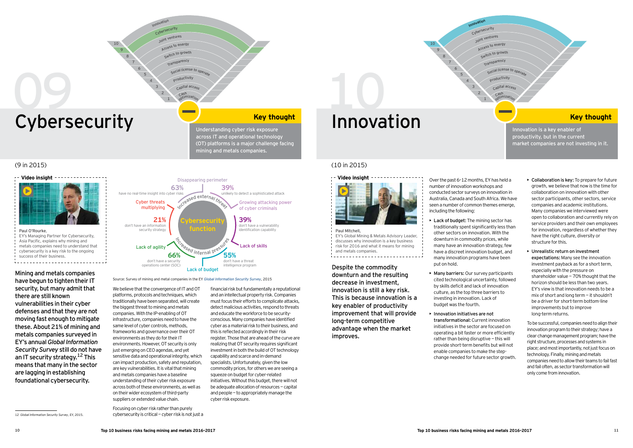- Access to energy
- Switch to growth
- Transparenc<sup>y</sup>
- Social license to ope
- Productivit<sup>y</sup>



# Cybersecurity **I New York Cybersecurity**

Understanding cyber risk exposure across IT and operational technology (OT) platforms is a major challenge facing mining and metals companies.

- Innovation<br>Cybersecurity
- <sup>J</sup>oin<sup>t</sup> <sup>v</sup>enture<sup>s</sup>

Capital access <sup>o</sup>ptimizatio<sup>n</sup>

<u> Estados de San</u>

Innovation is a key enabler of p roductivity, but in the current market companies are not investing in it.

- $\triangleright$  Collaboration is key: To prepare for future growth, we believe that now is the time for collaboration on innovation with other sector participants, other sectors, service companies and academic institutions. Many companies we interviewed were open to collaboration and currently rely on service providers and their own employees for innovation, regardless of whether they have the right culture, diversity or structure for this.
- $\triangleright$  Unrealistic return on investment expectations: Many see the innovation investment payback as for a short term, especially with the pressure on shareholder value  $-70%$  thought that the horizon should be less than two years. EY's view is that innovation needs to be a mix of short and long term  $-$  it shouldn't be a driver for short-term bottom-line improvements but to improve long-term returns.

To be successful, companies need to align their innovation program to their strategy; have a clear change management program; have the right structure, processes and systems in place: and most importantly, not just focus on technology. Finally, mining and metals companies need to allow their teams to fail fast and fail often, as sector transformation will only come from innovation.

8 9

- **Lack of budget:** The mining sector has traditionally spent significantly less than other sectors on innovation. With the downturn in commodity prices, while many have an innovation strategy, few have a discreet innovation budget, and many innovation programs have been put on hold.
- $\triangleright$  Many barriers: Our survey participants cited technological uncertainty, followed by skills deficit and lack of innovation culture, as the top three barriers to investing in innovation. Lack of budget was the fourth.
- $\blacktriangleright$  Innovation initiatives are not transformational: Current innovation initiatives in the sector are focused on operating a bit faster or more efficiently rather than being disruptive  $-$  this will provide short-term benefits but will not enable companies to make the stepchange needed for future sector growth.

12 [Global Information Security Survey](http://www.ey.com/GL/en/Services/Advisory/ey-global-information-security-survey-2015-1), EY, 2015.

cybersecurity is critical  $-$  cyber risk is not just a

<sup>C</sup>as<sup>h</sup>

Mining and metals companies have begun to tighten their IT security, but many admit that there are still known vulnerabilities in their cyber defenses and that they are not moving fast enough to mitigate these. About 21% of mining and metals companies surveyed in E Y ' s annual *Global Information Security Survey* still do not have an IT security strategy.  $12$  This means that many in the sector are lagging in establishing foundational cybersecurity.

**C y b e rs e c urit y** function have no real-time insight into cyber risks **6 3 %** don't have an information security strategy **2 1 %** don't have a security operations center (SOC) **6 6 %** Disappearing perimeter unlikely to detect a sophisticated attack **3 9 %** don't have a vulnerability identification capability **3 9 %** don't have a threat intelligence program **5 5 %** Cyber threats multiplying Lack of agility Lack of budget Lack of skills Growing attacking power of cyber criminals Sed internal pressures Increased external three

Source: Survey of mining and metal companies in the EY *[Global Information Security Survey](http://www.ey.com/GL/en/Services/Advisory/ey-global-information-security-survey-2015-1)*, 2015

We believe that the convergence of IT and OT platforms, protocols and techniques, which traditionally have been separated, will create the biggest threat to mining and metals companies. With the IP-enabling of OT infrastructure, companies need to have the same level of cyber controls, methods. frameworks and governance over their OT environments as they do for their IT environments. However, OT security is only just emerging on CEO agendas, and yet sensitive data and operational integrity, which can impact production, safety and reputation, are key vulnerabilities. It is vital that mining and metals companies have a baseline understanding of their cyber risk exposure across both of these environments, as well as on their wider ecosystem of third-party suppliers or extended value chain.

cyber risk exposure. Focusing on cyber risk rather than purely

financial risk but fundamentally a reputational and an intellectual property risk. Companies must focus their efforts to complicate attacks. detect malicious activities, respond to threats and educate the workforce to be securityconscious. Many companies have identified cyber as a material risk to their business, and this is reflected accordingly in their risk register. Those that are ahead of the curve are realizing that OT security requires significant investment in both the build of OT technology capability and scarce and in-demand specialists. Unfortunately, given the low commodity prices, for others we are seeing a squeeze on budget for cyber-related initiatives. Without this budget, there will not be adequate allocation of resources  $-$  capital and people  $-$  to appropriately manage the

# Innovation **With the United States of the Contract of the United States of the Key thought**

#### (9 in 2015) (10 in 2015)



Paul O'Rourke, EY's Managing Partner for Cybersecurity, Asia Pacific, explains why mining and [metals companies need to understand that](http://bcove.me/m2neb9zl)  cybersecurity is a key risk to the ongoing success of their business. <u>. . . . . . . . . . . . . . . . .</u>



Paul Mitchell EY's Global Mining & Metals Advisory Leader, discusses why innovation is a key business risk for 2016 and what it means for mining and metals companies 

Despite the commodity downturn and the resulting decrease in investment. innovation is still a key risk. This is because innovation is a key enabler of productivity im provement that will provide long-term competitive advantage when the market improves.

Over the past 6-12 months, EY has held a number of innovation workshops and conducted sector surveys on innovation in Australia. Canada and South Africa. We have seen a number of common themes emerge, including the following:

 $\mathbf{1}$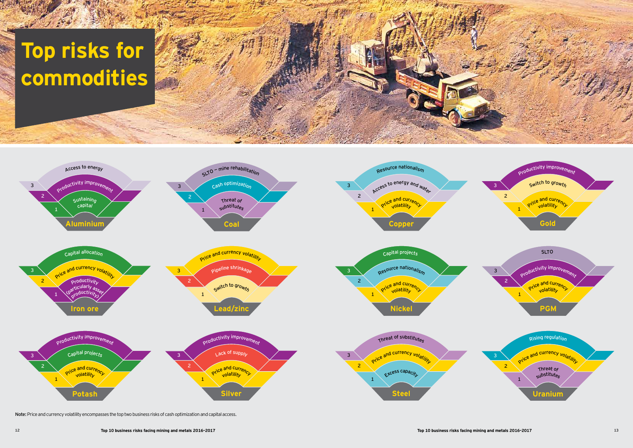# **Top risks for c o mmo d it ie s**





Note: Price and currency volatility encompasses the top two business risks of cash optimization and capital access.